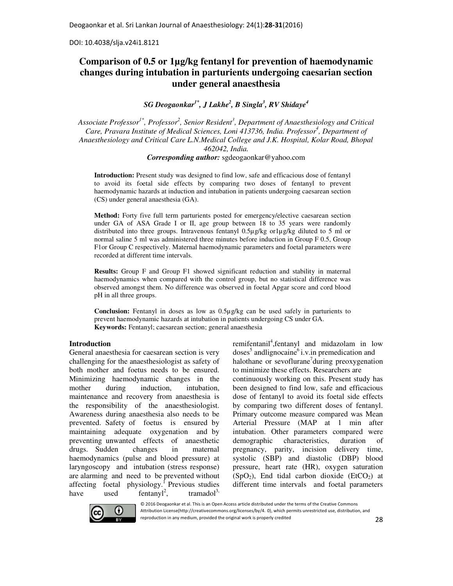DOI: 10.4038/slja.v24i1.8121

# **Comparison of 0.5 or 1µg/kg fentanyl for prevention of haemodynamic changes during intubation in parturients undergoing caesarian section under general anaesthesia**

*SG Deogaonkar1\*, J Lakhe<sup>2</sup> , B Singla<sup>3</sup> , RV Shidaye<sup>4</sup>*

*Associate Professor1\*, Professor<sup>2</sup> , Senior Resident<sup>3</sup> , Department of Anaesthesiology and Critical Care, Pravara Institute of Medical Sciences, Loni 413736, India. Professor<sup>4</sup> , Department of Anaesthesiology and Critical Care L.N.Medical College and J.K. Hospital, Kolar Road, Bhopal 462042, India.*

*Corresponding author:* sgdeogaonkar@yahoo.com

**Introduction:** Present study was designed to find low, safe and efficacious dose of fentanyl to avoid its foetal side effects by comparing two doses of fentanyl to prevent haemodynamic hazards at induction and intubation in patients undergoing caesarean section (CS) under general anaesthesia (GA).

**Method:** Forty five full term parturients posted for emergency/elective caesarean section under GA of ASA Grade I or II, age group between 18 to 35 years were randomly distributed into three groups. Intravenous fentanyl 0.5µg/kg or1µg/kg diluted to 5 ml or normal saline 5 ml was administered three minutes before induction in Group F 0.5, Group F1or Group C respectively. Maternal haemodynamic parameters and foetal parameters were recorded at different time intervals.

**Results:** Group F and Group F1 showed significant reduction and stability in maternal haemodynamics when compared with the control group, but no statistical difference was observed amongst them. No difference was observed in foetal Apgar score and cord blood pH in all three groups.

**Conclusion:** Fentanyl in doses as low as 0.5µg/kg can be used safely in parturients to prevent haemodynamic hazards at intubation in patients undergoing CS under GA. **Keywords:** Fentanyl; caesarean section; general anaesthesia

### **Introduction**

General anaesthesia for caesarean section is very challenging for the anaesthesiologist as safety of both mother and foetus needs to be ensured. Minimizing haemodynamic changes in the mother during induction, intubation, maintenance and recovery from anaesthesia is the responsibility of the anaesthesiologist. Awareness during anaesthesia also needs to be prevented. Safety of foetus is ensured by maintaining adequate oxygenation and by preventing unwanted effects of anaesthetic drugs. Sudden changes in maternal haemodynamics (pulse and blood pressure) at laryngoscopy and intubation (stress response) are alarming and need to be prevented without affecting foetal physiology.<sup>1</sup> Previous studies have used fentanyl<sup>2</sup>,  $tranado<sup>3</sup>$ 

remifentanil<sup>4</sup>,fentanyl and midazolam in low doses<sup>5</sup> andlignocaine<sup>6</sup> i.v.in premedication and halothane or sevoflurane<sup>7</sup> during preoxygenation to minimize these effects. Researchers are continuously working on this. Present study has been designed to find low, safe and efficacious dose of fentanyl to avoid its foetal side effects by comparing two different doses of fentanyl. Primary outcome measure compared was Mean Arterial Pressure (MAP at 1 min after intubation. Other parameters compared were demographic characteristics, duration of pregnancy, parity, incision delivery time, systolic (SBP) and diastolic (DBP) blood pressure, heart rate (HR), oxygen saturation  $(SpO<sub>2</sub>)$ , End tidal carbon dioxide (EtCO<sub>2</sub>) at different time intervals and foetal parameters



© 2016 Deogaonkar et al. This is an Open Access article distributed under the terms of the Creative Commons Attribution License(http://creativecommons.org/licenses/by/4. 0), which permits unrestricted use, distribution, and reproduction in any medium, provided the original work is properly credited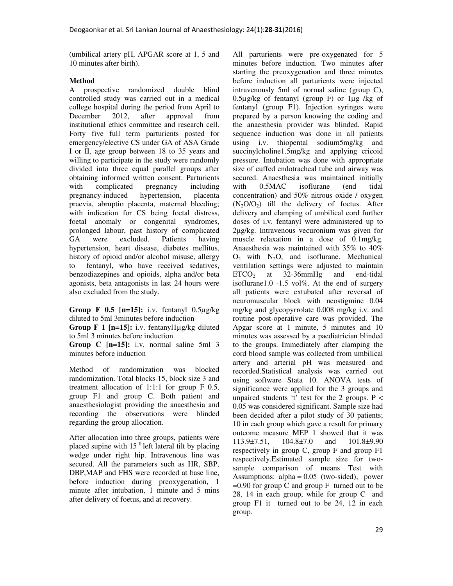(umbilical artery pH, APGAR score at 1, 5 and 10 minutes after birth).

# **Method**

A prospective randomized double blind controlled study was carried out in a medical college hospital during the period from April to December 2012, after approval from institutional ethics committee and research cell. Forty five full term parturients posted for emergency/elective CS under GA of ASA Grade I or II, age group between 18 to 35 years and willing to participate in the study were randomly divided into three equal parallel groups after obtaining informed written consent. Parturients with complicated pregnancy including pregnancy-induced hypertension, placenta praevia, abruptio placenta, maternal bleeding; with indication for CS being foetal distress, foetal anomaly or congenital syndromes, prolonged labour, past history of complicated GA were excluded. Patients having hypertension, heart disease, diabetes mellitus, history of opioid and/or alcohol misuse, allergy to fentanyl, who have received sedatives, benzodiazepines and opioids, alpha and/or beta agonists, beta antagonists in last 24 hours were also excluded from the study.

**Group F 0.5 [n=15]:** i.v. fentanyl 0.5µg/kg diluted to 5ml 3minutes before induction

**Group F 1 [n=15]:** i.v. fentanyl1µg/kg diluted to 5ml 3 minutes before induction

**Group C [n=15]:** i.v. normal saline 5ml 3 minutes before induction

Method of randomization was blocked randomization. Total blocks 15, block size 3 and treatment allocation of 1:1:1 for group F 0.5, group F1 and group C. Both patient and anaesthesiologist providing the anaesthesia and recording the observations were blinded regarding the group allocation.

After allocation into three groups, patients were placed supine with 15 $<sup>0</sup>$  left lateral tilt by placing</sup> wedge under right hip. Intravenous line was secured. All the parameters such as HR, SBP, DBP,MAP and FHS were recorded at base line, before induction during preoxygenation, 1 minute after intubation, 1 minute and 5 mins after delivery of foetus, and at recovery.

All parturients were pre-oxygenated for 5 minutes before induction. Two minutes after starting the preoxygenation and three minutes before induction all parturients were injected intravenously 5ml of normal saline (group C), 0.5µg/kg of fentanyl (group F) or 1µg /kg of fentanyl (group F1). Injection syringes were prepared by a person knowing the coding and the anaesthesia provider was blinded. Rapid sequence induction was done in all patients using i.v. thiopental sodium5mg/kg and succinylcholine1.5mg/kg and applying cricoid pressure. Intubation was done with appropriate size of cuffed endotracheal tube and airway was secured. Anaesthesia was maintained initially with 0.5MAC isoflurane (end tidal concentration) and 50% nitrous oxide / oxygen  $(N_2O/O_2)$  till the delivery of foetus. After delivery and clamping of umbilical cord further doses of i.v. fentanyl were administered up to 2μg/kg. Intravenous vecuronium was given for muscle relaxation in a dose of 0.1mg/kg. Anaesthesia was maintained with 35% to 40%  $O<sub>2</sub>$  with N<sub>2</sub>O, and isoflurane. Mechanical ventilation settings were adjusted to maintain  $ETCO<sub>2</sub>$  at 32-36mmHg and end-tidal isoflurane  $1.0 - 1.5$  vol%. At the end of surgery all patients were extubated after reversal of neuromuscular block with neostigmine 0.04 mg/kg and glycopyrrolate 0.008 mg/kg i.v. and routine post-operative care was provided. The Apgar score at 1 minute, 5 minutes and 10 minutes was assessed by a paediatrician blinded to the groups. Immediately after clamping the cord blood sample was collected from umbilical artery and arterial pH was measured and recorded.Statistical analysis was carried out using software Stata 10. ANOVA tests of significance were applied for the 3 groups and unpaired students 't' test for the 2 groups.  $P \le$ 0.05 was considered significant. Sample size had been decided after a pilot study of 30 patients; 10 in each group which gave a result for primary outcome measure MEP 1 showed that it was 113.9±7.51, 104.8±7.0 and 101.8±9.90 respectively in group C, group F and group F1 respectively.Estimated sample size for twosample comparison of means Test with Assumptions:  $alpha = 0.05$  (two-sided), power =0.90 for group C and group F turned out to be 28, 14 in each group, while for group C and group F1 it turned out to be 24, 12 in each group.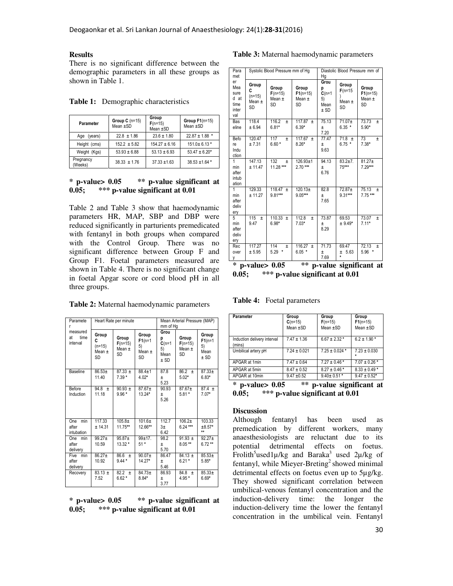#### **Results**

There is no significant difference between the demographic parameters in all these groups as shown in Table 1.

**Table 1:** Demographic characteristics

| Group $C(n=15)$<br>Parameter<br>Mean $\pm$ SD |                  | Group<br>$F(n=15)$<br>Mean $\pm$ SD | Group $F1(n=15)$<br>Mean $\pm$ SD |  |
|-----------------------------------------------|------------------|-------------------------------------|-----------------------------------|--|
| Age (years)                                   | $22.8 \pm 1.86$  | $23.6 \pm 1.80$                     | $22.87 \pm 1.88$ *                |  |
| Height (cms)                                  | $152.2 \pm 5.82$ | $154.27 \pm 6.16$                   | $151.0 \pm 6.13$ *                |  |
| Weight (Kgs)                                  | $53.93 \pm 6.88$ | $53.13 \pm 6.93$                    | $53.47 \pm 6.20*$                 |  |
| Pregnancy<br>(Weeks)                          | $38.33 + 1.76$   | $37.33 + 1.63$                      | $38.53 + 1.64$ *                  |  |

#### **\* p-value> 0.05 \*\* p-value significant at 0.05; \*\*\* p-value significant at 0.01**

Table 2 and Table 3 show that haemodynamic parameters HR, MAP, SBP and DBP were reduced significantly in parturients premedicated with fentanyl in both groups when compared with the Control Group. There was no significant difference between Group F and Group F1. Foetal parameters measured are shown in Table 4. There is no significant change in foetal Apgar score or cord blood pH in all three groups.

**Table 2:** Maternal haemodynamic parameters

| Paramete<br>r                      | Heart Rate per minute                      |                                        |                                                     | Mean Arterial Pressure (MAP)<br>mm of Ha      |                                               |                                            |
|------------------------------------|--------------------------------------------|----------------------------------------|-----------------------------------------------------|-----------------------------------------------|-----------------------------------------------|--------------------------------------------|
| measured<br>time<br>at<br>interval | Group<br>c<br>$(n=15)$<br>Mean $\pm$<br>SD | Group<br>$F(n=15)$<br>Mean $\pm$<br>SD | Group<br>$F1(n=1)$<br>5)<br>Mean $\pm$<br><b>SD</b> | Grou<br>р<br>$C(n=1)$<br>5)<br>Mean<br>$±$ SD | Group<br>$F(n=15)$<br>Mean $\pm$<br><b>SD</b> | Group<br>$F1(n=1)$<br>5)<br>Mean<br>$±$ SD |
| <b>Baseline</b>                    | $86.53+$<br>11.40                          | $87.33 \pm$<br>$7.39*$                 | $88.4 \pm 1$<br>$4.02*$                             | 87.8<br>土<br>5.23                             | 86.2<br>$\pm$<br>$5.02*$                      | $\overline{87.33}$ ±<br>$6.83*$            |
| Before<br>Induction                | $94.8 +$<br>11.18                          | $90.93 \pm$<br>$9.96*$                 | $87.67+$<br>13.24*                                  | 90.93<br>±<br>5.26                            | $87.67+$<br>$5.81*$                           | $87.4 \pm$<br>$7.07*$                      |
| min<br>One<br>after<br>intubation  | 117.33<br>± 14.31                          | $105.8 +$<br>11.75**                   | $101.6 +$<br>12.66**                                | 112.7<br>$3+$<br>6.42                         | $106.2+$<br>$6.24***$                         | 103.33<br>$±8.57*$<br>$\star\star$         |
| One<br>min<br>after<br>delivery    | $99.27+$<br>10.59                          | $95.87+$<br>$13.32*$                   | $99 + 17$ .<br>$51*$                                | 98.2<br>Ŧ<br>5.70                             | $91.93 +$<br>$8.05**$                         | $92.27+$<br>$6.72**$                       |
| min<br>Five<br>after<br>delivery   | $86.27+$<br>10.92                          | 86.6<br>$\pm$<br>$9.44*$               | $90.07 +$<br>14.27*                                 | 86.47<br>土<br>5.46                            | $84.13 \pm$<br>$6.21*$                        | $85.53+$<br>$5.85*$                        |
| Recovery                           | $83.13 +$<br>7.52                          | 82.2<br>$\pm$<br>$6.62*$               | $84.73+$<br>$8.84*$                                 | 86.93<br>土<br>3.77                            | 84.8<br>$\pm$<br>4.95 *                       | $85.33+$<br>$6.69*$                        |

**\* p-value> 0.05 \*\* p-value significant at 0.05; \*\*\* p-value significant at 0.01** 

| Table 3: Maternal haemodynamic parameters |  |  |
|-------------------------------------------|--|--|
|                                           |  |  |
|                                           |  |  |

| Para<br>met                                       | Systolic Blood Pressure mm of Hq              |                                           |                                     | Diastolic Blood Pressure mm of<br>Нg          |                                       |                                         |
|---------------------------------------------------|-----------------------------------------------|-------------------------------------------|-------------------------------------|-----------------------------------------------|---------------------------------------|-----------------------------------------|
| er<br>Mea<br>sure<br>d at<br>time<br>inter<br>val | Group<br>c<br>$(n=15)$<br>Mean ±<br><b>SD</b> | Group<br>$F(n=15)$<br>Mean ±<br><b>SD</b> | Group<br>$F1(n=15)$<br>Mean ±<br>SD | Grou<br>р<br>$C(n=1)$<br>5)<br>Mean<br>$±$ SD | Group<br>$F(n=15$<br>Mean $\pm$<br>SD | Group<br>$F1(n=15)$<br>Mean $\pm$<br>SD |
| Bas<br>eline                                      | 118.4<br>± 6.94                               | 116.2<br>$\pm$<br>$6.81*$                 | $117.87 \pm$<br>$6.39*$             | 75.13<br>Ŧ<br>7.20                            | $71.07 \pm$<br>$6.35*$                | 73.73<br>$\pm$<br>$5.90*$               |
| Befo<br>re<br>Indu<br>ction                       | 120.47<br>± 7.31                              | 117<br>$\pm$<br>$6.60*$                   | 117.67 $\pm$<br>$8.26*$             | 77.47<br>Ŧ<br>9.63                            | $71.8 \pm$<br>$6.75*$                 | 73<br>$\pm$<br>$7.38*$                  |
| 1<br>min<br>after<br>intub<br>ation               | 147.13<br>± 11.47                             | 132<br>$\pm$<br>11.28 ***                 | $126.93 + 1$<br>$2.70***$           | 94.13<br>Ŧ<br>6.76                            | $83.2 + 7.$<br>75***                  | $81.27 +$<br>$7.29***$                  |
| 1<br>min<br>after<br>deliv<br>ery                 | 129.33<br>± 11.27                             | $118.47 \pm$<br>9.81***                   | $120.13+$<br>$9.05***$              | 82.8<br>Ŧ<br>7.65                             | $72.87+$<br>$9.31***$                 | 75.13<br>士<br>$7.75***$                 |
| 5<br>min<br>after<br>deliv<br>ery                 | 115<br>$\pm$<br>9.47                          | $110.33 \pm$<br>$6.98*$                   | 112.8<br>$\pm$<br>$7.03*$           | 73.87<br>±<br>8.29                            | 69.53<br>$± 9.49*$                    | 73.07<br>Ŧ<br>$7.11*$                   |
| Rec<br>over<br>у                                  | 117.27<br>± 5.95                              | 114<br>Ŧ<br>5.29<br>×                     | 116.27 $\pm$<br>$6.05*$             | 71.73<br>±<br>7.69                            | 69.47<br>5.63<br>Ŧ<br>$\star$         | 72.13<br>$\pm$<br>5.96                  |

**\* p-value> 0.05 \*\* p-value significant at 0.05; \*\*\* p-value significant at 0.01** 

**Table 4:** Foetal parameters

| Parameter                             | Group<br>$C(n=15)$<br>Mean $\pm$ SD | Group<br>$F(n=15)$<br>Mean $\pm$ SD | Group<br>$F1(n=15)$<br>Mean $\pm$ SD |
|---------------------------------------|-------------------------------------|-------------------------------------|--------------------------------------|
| Induction delivery interval<br>(mins) | $7.47 \pm 1.36$                     | $6.67 \pm 2.32$ *                   | $6.2 \pm 1.90$ *                     |
| Umbilical artery pH                   | $7.24 \pm 0.021$                    | $7.25 \pm 0.024$ *                  | $\sqrt{7.23} \pm 0.030$<br>۰         |
| APGAR at 1min                         | $7.47 \pm 0.64$                     | $7.27 \pm 0.46*$                    | $7.07 \pm 0.26$ *                    |
| APGAR at 5min                         | $8.47 \pm 0.52$                     | $8.27 \pm 0.46*$                    | $8.33 \pm 0.49$ *                    |
| APGAR at 10min                        | $9.47 \pm 0.52$                     | $9.40 \pm 0.51$ *                   | $9.47 \pm 0.52$ *                    |

**\* p-value> 0.05 \*\* p-value significant at 0.05; \*\*\* p-value significant at 0.01** 

## **Discussion**

Although fentanyl has been used as premedication by different workers, many anaesthesiologists are reluctant due to its potential detrimental effects on foetus. Frolith<sup>5</sup> used  $1\mu$ /kg and Baraka<sup>3</sup> used  $2\mu$ /kg of fentanyl, while Mieyer-Breting<sup>2</sup> showed minimal detrimental effects on foetus even up to 5µg/kg. They showed significant correlation between umbilical-venous fentanyl concentration and the induction-delivery time: the longer the induction-delivery time the lower the fentanyl concentration in the umbilical vein. Fentanyl